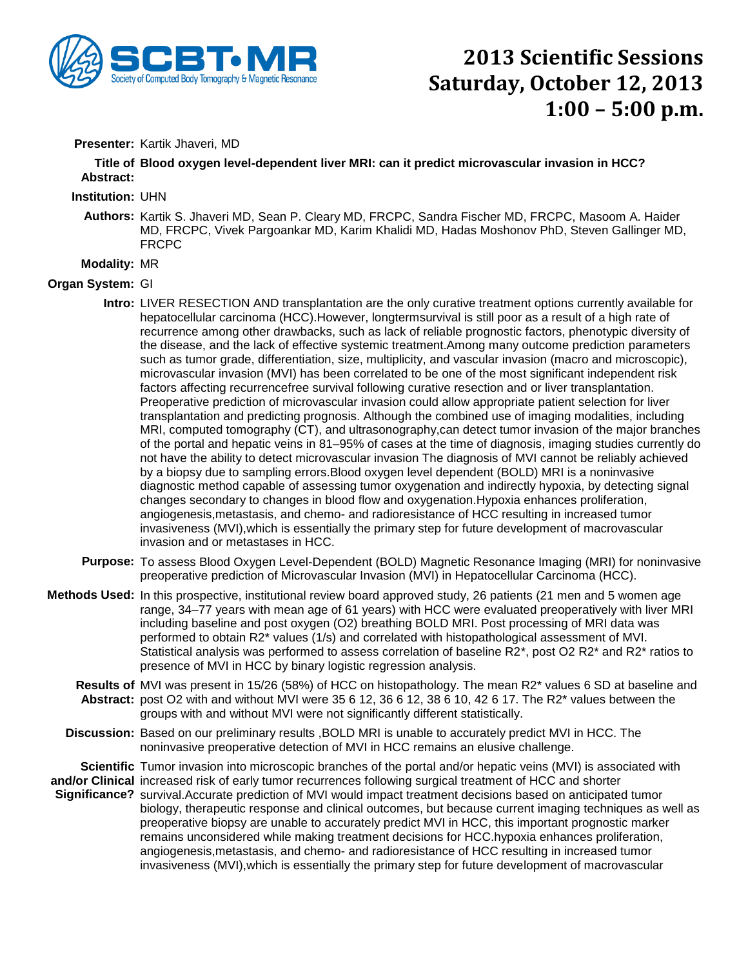

## **2013 Scientific Sessions Saturday, October 12, 2013 1:00 – 5:00 p.m.**

### **Presenter:** Kartik Jhaveri, MD

**Title of Blood oxygen level-dependent liver MRI: can it predict microvascular invasion in HCC? Abstract:**

#### **Institution:** UHN

**Authors:** Kartik S. Jhaveri MD, Sean P. Cleary MD, FRCPC, Sandra Fischer MD, FRCPC, Masoom A. Haider MD, FRCPC, Vivek Pargoankar MD, Karim Khalidi MD, Hadas Moshonov PhD, Steven Gallinger MD, FRCPC

#### **Modality:** MR

#### **Organ System:** GI

- **Intro:** LIVER RESECTION AND transplantation are the only curative treatment options currently available for hepatocellular carcinoma (HCC).However, longtermsurvival is still poor as a result of a high rate of recurrence among other drawbacks, such as lack of reliable prognostic factors, phenotypic diversity of the disease, and the lack of effective systemic treatment.Among many outcome prediction parameters such as tumor grade, differentiation, size, multiplicity, and vascular invasion (macro and microscopic), microvascular invasion (MVI) has been correlated to be one of the most significant independent risk factors affecting recurrencefree survival following curative resection and or liver transplantation. Preoperative prediction of microvascular invasion could allow appropriate patient selection for liver transplantation and predicting prognosis. Although the combined use of imaging modalities, including MRI, computed tomography (CT), and ultrasonography,can detect tumor invasion of the major branches of the portal and hepatic veins in 81–95% of cases at the time of diagnosis, imaging studies currently do not have the ability to detect microvascular invasion The diagnosis of MVI cannot be reliably achieved by a biopsy due to sampling errors.Blood oxygen level dependent (BOLD) MRI is a noninvasive diagnostic method capable of assessing tumor oxygenation and indirectly hypoxia, by detecting signal changes secondary to changes in blood flow and oxygenation.Hypoxia enhances proliferation, angiogenesis,metastasis, and chemo- and radioresistance of HCC resulting in increased tumor invasiveness (MVI),which is essentially the primary step for future development of macrovascular invasion and or metastases in HCC.
- **Purpose:** To assess Blood Oxygen Level-Dependent (BOLD) Magnetic Resonance Imaging (MRI) for noninvasive preoperative prediction of Microvascular Invasion (MVI) in Hepatocellular Carcinoma (HCC).
- **Methods Used:** In this prospective, institutional review board approved study, 26 patients (21 men and 5 women age range, 34–77 years with mean age of 61 years) with HCC were evaluated preoperatively with liver MRI including baseline and post oxygen (O2) breathing BOLD MRI. Post processing of MRI data was performed to obtain R2\* values (1/s) and correlated with histopathological assessment of MVI. Statistical analysis was performed to assess correlation of baseline R2\*, post O2 R2\* and R2\* ratios to presence of MVI in HCC by binary logistic regression analysis.
	- **Results of**  MVI was present in 15/26 (58%) of HCC on histopathology. The mean R2\* values 6 SD at baseline and **Abstract:** post O2 with and without MVI were 35 6 12, 36 6 12, 38 6 10, 42 6 17. The R2\* values between the groups with and without MVI were not significantly different statistically.
	- **Discussion:** Based on our preliminary results ,BOLD MRI is unable to accurately predict MVI in HCC. The noninvasive preoperative detection of MVI in HCC remains an elusive challenge.

**Scientific**  Tumor invasion into microscopic branches of the portal and/or hepatic veins (MVI) is associated with **and/or Clinical**  increased risk of early tumor recurrences following surgical treatment of HCC and shorter Significance? survival.Accurate prediction of MVI would impact treatment decisions based on anticipated tumor biology, therapeutic response and clinical outcomes, but because current imaging techniques as well as preoperative biopsy are unable to accurately predict MVI in HCC, this important prognostic marker remains unconsidered while making treatment decisions for HCC.hypoxia enhances proliferation, angiogenesis,metastasis, and chemo- and radioresistance of HCC resulting in increased tumor invasiveness (MVI),which is essentially the primary step for future development of macrovascular